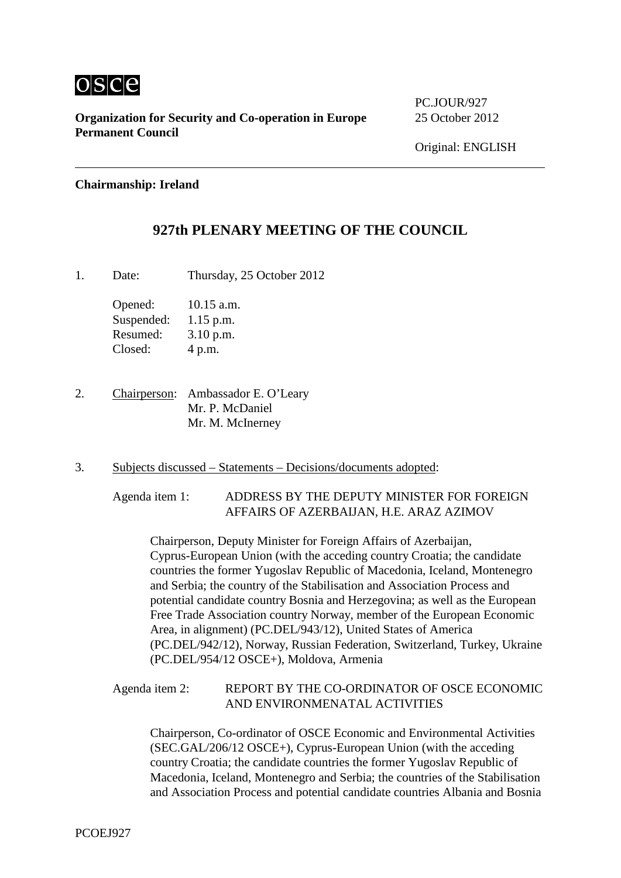

**Organization for Security and Co-operation in Europe** 25 October 2012 **Permanent Council**

PC.JOUR/927

## **Chairmanship: Ireland**

## **927th PLENARY MEETING OF THE COUNCIL**

1. Date: Thursday, 25 October 2012

Opened: 10.15 a.m. Suspended: 1.15 p.m. Resumed: 3.10 p.m. Closed: 4 p.m.

2. Chairperson: Ambassador E. O'Leary Mr. P. McDaniel Mr. M. McInerney

3. Subjects discussed – Statements – Decisions/documents adopted:

Agenda item 1: ADDRESS BY THE DEPUTY MINISTER FOR FOREIGN AFFAIRS OF AZERBAIJAN, H.E. ARAZ AZIMOV

Chairperson, Deputy Minister for Foreign Affairs of Azerbaijan, Cyprus-European Union (with the acceding country Croatia; the candidate countries the former Yugoslav Republic of Macedonia, Iceland, Montenegro and Serbia; the country of the Stabilisation and Association Process and potential candidate country Bosnia and Herzegovina; as well as the European Free Trade Association country Norway, member of the European Economic Area, in alignment) (PC.DEL/943/12), United States of America (PC.DEL/942/12), Norway, Russian Federation, Switzerland, Turkey, Ukraine (PC.DEL/954/12 OSCE+), Moldova, Armenia

Agenda item 2: REPORT BY THE CO-ORDINATOR OF OSCE ECONOMIC AND ENVIRONMENATAL ACTIVITIES

Chairperson, Co-ordinator of OSCE Economic and Environmental Activities (SEC.GAL/206/12 OSCE+), Cyprus-European Union (with the acceding country Croatia; the candidate countries the former Yugoslav Republic of Macedonia, Iceland, Montenegro and Serbia; the countries of the Stabilisation and Association Process and potential candidate countries Albania and Bosnia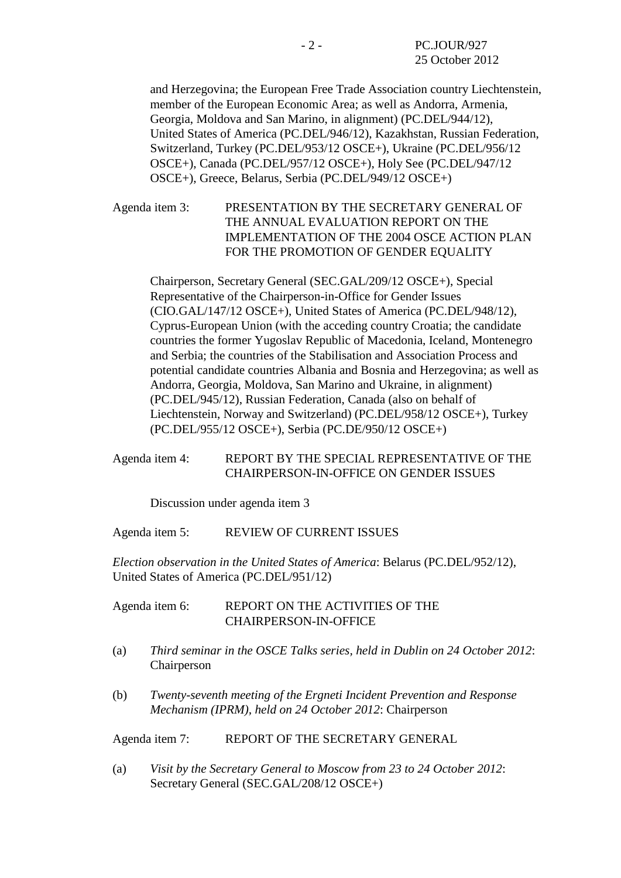and Herzegovina; the European Free Trade Association country Liechtenstein, member of the European Economic Area; as well as Andorra, Armenia, Georgia, Moldova and San Marino, in alignment) (PC.DEL/944/12), United States of America (PC.DEL/946/12), Kazakhstan, Russian Federation, Switzerland, Turkey (PC.DEL/953/12 OSCE+), Ukraine (PC.DEL/956/12 OSCE+), Canada (PC.DEL/957/12 OSCE+), Holy See (PC.DEL/947/12 OSCE+), Greece, Belarus, Serbia (PC.DEL/949/12 OSCE+)

Agenda item 3: PRESENTATION BY THE SECRETARY GENERAL OF THE ANNUAL EVALUATION REPORT ON THE IMPLEMENTATION OF THE 2004 OSCE ACTION PLAN FOR THE PROMOTION OF GENDER EQUALITY

Chairperson, Secretary General (SEC.GAL/209/12 OSCE+), Special Representative of the Chairperson-in-Office for Gender Issues (CIO.GAL/147/12 OSCE+), United States of America (PC.DEL/948/12), Cyprus-European Union (with the acceding country Croatia; the candidate countries the former Yugoslav Republic of Macedonia, Iceland, Montenegro and Serbia; the countries of the Stabilisation and Association Process and potential candidate countries Albania and Bosnia and Herzegovina; as well as Andorra, Georgia, Moldova, San Marino and Ukraine, in alignment) (PC.DEL/945/12), Russian Federation, Canada (also on behalf of Liechtenstein, Norway and Switzerland) (PC.DEL/958/12 OSCE+), Turkey (PC.DEL/955/12 OSCE+), Serbia (PC.DE/950/12 OSCE+)

## Agenda item 4: REPORT BY THE SPECIAL REPRESENTATIVE OF THE CHAIRPERSON-IN-OFFICE ON GENDER ISSUES

Discussion under agenda item 3

Agenda item 5: REVIEW OF CURRENT ISSUES

*Election observation in the United States of America*: Belarus (PC.DEL/952/12), United States of America (PC.DEL/951/12)

Agenda item 6: REPORT ON THE ACTIVITIES OF THE CHAIRPERSON-IN-OFFICE

- (a) *Third seminar in the OSCE Talks series, held in Dublin on 24 October 2012*: Chairperson
- (b) *Twenty-seventh meeting of the Ergneti Incident Prevention and Response Mechanism (IPRM), held on 24 October 2012*: Chairperson

Agenda item 7: REPORT OF THE SECRETARY GENERAL

(a) *Visit by the Secretary General to Moscow from 23 to 24 October 2012*: Secretary General (SEC.GAL/208/12 OSCE+)